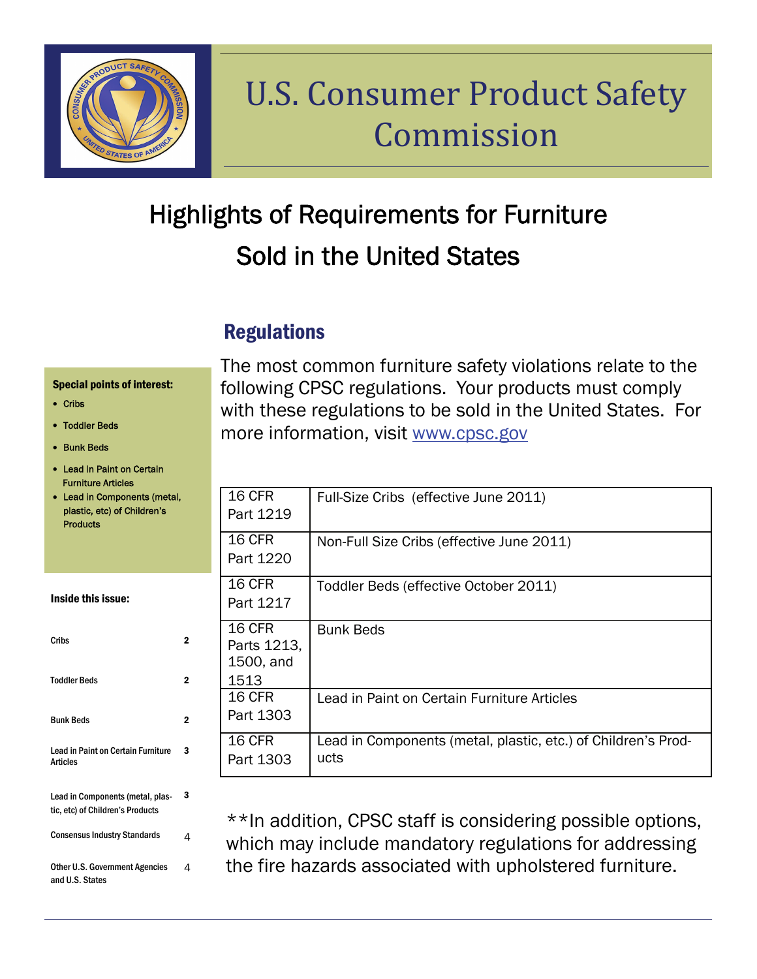

# U.S. Consumer Product Safety Commission

## Highlights of Requirements for Furniture Sold in the United States

## **Regulations**

#### Special points of interest:

- Cribs
- Toddler Beds
- Bunk Beds
- Lead in Paint on Certain Furniture Articles
- Lead in Components (metal, plastic, etc) of Children's Products

Inside this issue:

| Cribs                                                                | 2 |
|----------------------------------------------------------------------|---|
| <b>Toddler Beds</b>                                                  | 2 |
| <b>Bunk Beds</b>                                                     | 2 |
| Lead in Paint on Certain Furniture<br><b>Articles</b>                | 3 |
| Lead in Components (metal, plas-<br>tic, etc) of Children's Products | 3 |
| <b>Consensus Industry Standards</b>                                  | 4 |
| Other U.S. Government Agencies<br>and U.S. States                    | Δ |

The most common furniture safety violations relate to the following CPSC regulations. Your products must comply with these regulations to be sold in the United States. For more information, visit [www.cpsc.gov](http://www.cpsc.gov)

| 16 CFR<br>Part 1219                        | Full-Size Cribs (effective June 2011)                                 |
|--------------------------------------------|-----------------------------------------------------------------------|
| 16 CFR<br>Part 1220                        | Non-Full Size Cribs (effective June 2011)                             |
| <b>16 CFR</b><br>Part 1217                 | Toddler Beds (effective October 2011)                                 |
| 16 CFR<br>Parts 1213,<br>1500, and<br>1513 | <b>Bunk Beds</b>                                                      |
| 16 CFR<br>Part 1303                        | Lead in Paint on Certain Furniture Articles                           |
| <b>16 CFR</b><br>Part 1303                 | Lead in Components (metal, plastic, etc.) of Children's Prod-<br>ucts |

\*\*In addition, CPSC staff is considering possible options, which may include mandatory regulations for addressing the fire hazards associated with upholstered furniture.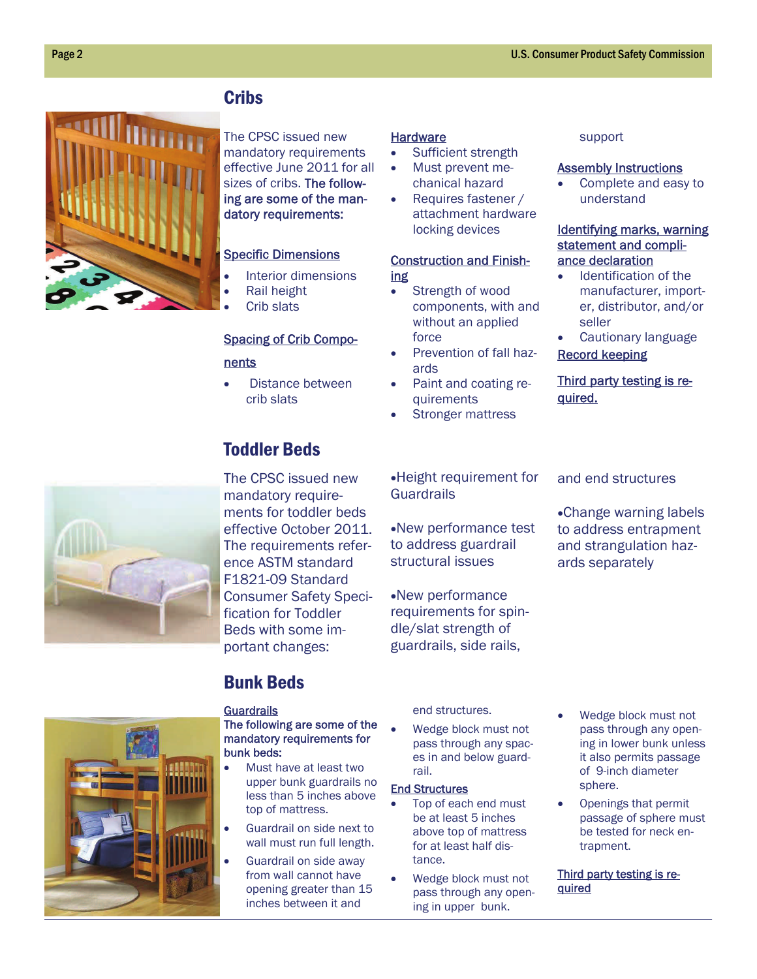### **Cribs**



The CPSC issued new mandatory requirements effective June 2011 for all sizes of cribs. The following are some of the mandatory requirements:

#### Specific Dimensions

- Interior dimensions
- Rail height
- Crib slats

#### Spacing of Crib Compo-

#### nents

• Distance between crib slats

### Toddler Beds

mandatory requirements for toddler beds effective October 2011. The requirements reference ASTM standard F1821-09 Standard Consumer Safety Specification for Toddler Beds with some important changes:

#### **Hardware**

- Sufficient strength
- Must prevent mechanical hazard
- Requires fastener / attachment hardware locking devices

#### Construction and Finishing

- Strength of wood components, with and without an applied force
- Prevention of fall hazards
- Paint and coating requirements
- Stronger mattress

### support

#### Assembly Instructions

 Complete and easy to understand

#### Identifying marks, warning statement and compliance declaration

- Identification of the manufacturer, importer, distributor, and/or seller
- Cautionary language Record keeping

#### Third party testing is required.



Change warning labels to address entrapment and strangulation hazards separately



### Bunk Beds

#### **Guardrails**

#### The following are some of the mandatory requirements for bunk beds:

- Must have at least two upper bunk guardrails no less than 5 inches above top of mattress.
- Guardrail on side next to wall must run full length.
- Guardrail on side away from wall cannot have opening greater than 15 inches between it and

end structures.

 Wedge block must not pass through any spaces in and below guardrail.

#### End Structures

- Top of each end must be at least 5 inches above top of mattress for at least half distance.
- Wedge block must not pass through any opening in upper bunk.
- Wedge block must not pass through any opening in lower bunk unless it also permits passage of 9-inch diameter sphere.
- Openings that permit passage of sphere must be tested for neck entrapment.

Third party testing is re**quired** 

The CPSC issued new

Height requirement for Guardrails

New performance test to address guardrail structural issues

New performance requirements for spindle/slat strength of guardrails, side rails,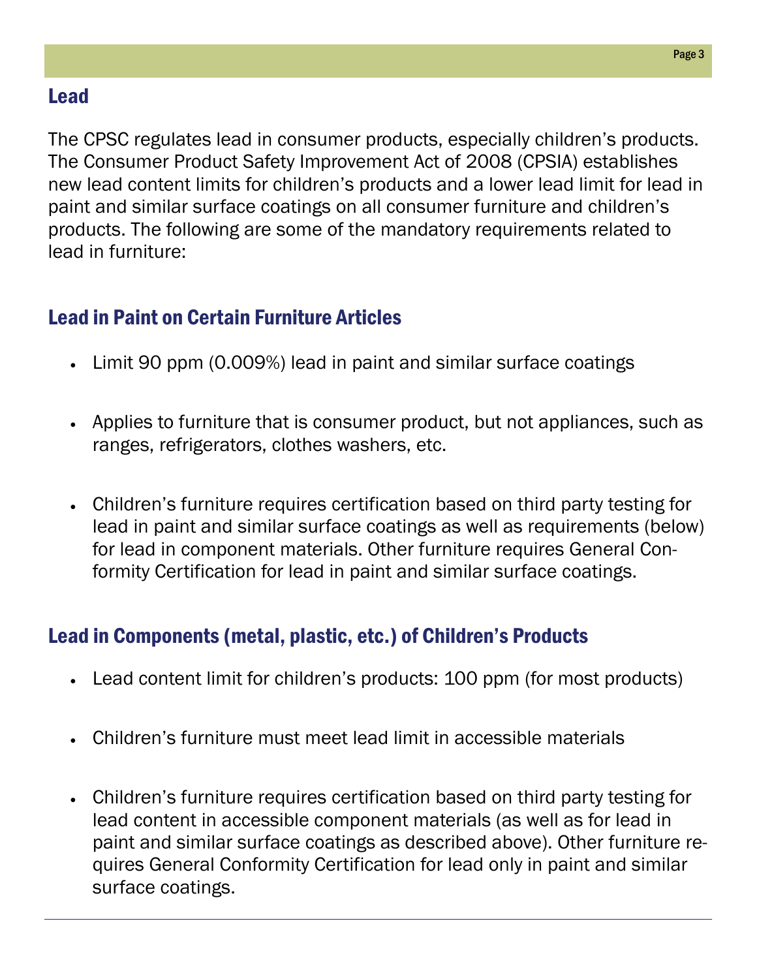### Lead

The CPSC regulates lead in consumer products, especially children's products. The Consumer Product Safety Improvement Act of 2008 (CPSIA) establishes new lead content limits for children's products and a lower lead limit for lead in paint and similar surface coatings on all consumer furniture and children's products. The following are some of the mandatory requirements related to lead in furniture:

### Lead in Paint on Certain Furniture Articles

- Limit 90 ppm (0.009%) lead in paint and similar surface coatings
- Applies to furniture that is consumer product, but not appliances, such as ranges, refrigerators, clothes washers, etc.
- Children's furniture requires certification based on third party testing for lead in paint and similar surface coatings as well as requirements (below) for lead in component materials. Other furniture requires General Conformity Certification for lead in paint and similar surface coatings.

### Lead in Components (metal, plastic, etc.) of Children's Products

- Lead content limit for children's products: 100 ppm (for most products)
- Children's furniture must meet lead limit in accessible materials
- Children's furniture requires certification based on third party testing for lead content in accessible component materials (as well as for lead in paint and similar surface coatings as described above). Other furniture requires General Conformity Certification for lead only in paint and similar surface coatings.